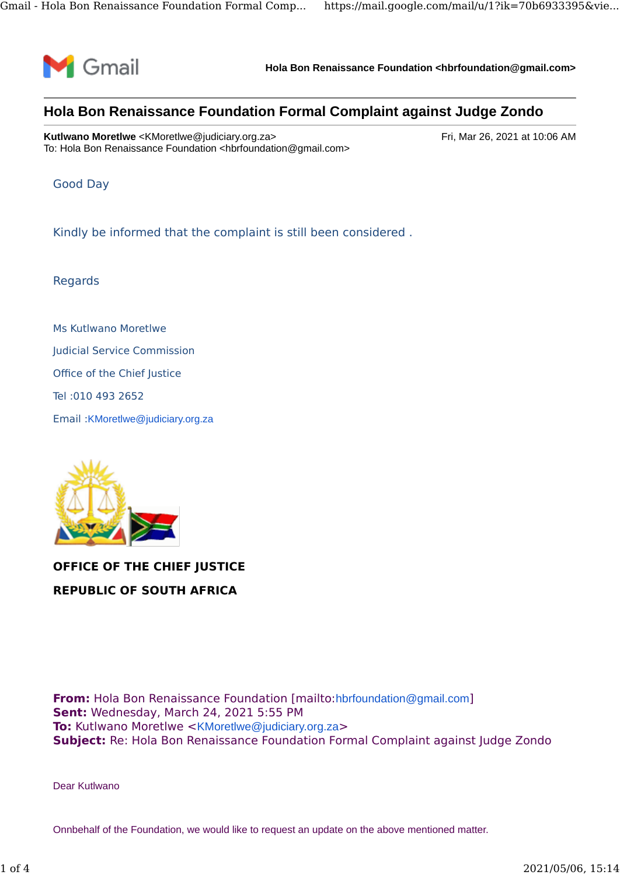

**Hola Bon Renaissance Foundation <hbrfoundation@gmail.com>**

## **Hola Bon Renaissance Foundation Formal Complaint against Judge Zondo**

**Kutlwano Moretlwe** <KMoretlwe@judiciary.org.za> Fri, Mar 26, 2021 at 10:06 AM To: Hola Bon Renaissance Foundation <hbrfoundation@gmail.com>

Good Day

Kindly be informed that the complaint is still been considered .

Regards

Ms Kutlwano Moretlwe Judicial Service Commission Office of the Chief Justice Tel :010 493 2652 Email :KMoretlwe@judiciary.org.za



**OFFICE OF THE CHIEF JUSTICE REPUBLIC OF SOUTH AFRICA**

**From:** Hola Bon Renaissance Foundation [mailto:hbrfoundation@gmail.com] **Sent:** Wednesday, March 24, 2021 5:55 PM **To:** Kutlwano Moretlwe <KMoretlwe@judiciary.org.za> **Subject:** Re: Hola Bon Renaissance Foundation Formal Complaint against Judge Zondo

Dear Kutlwano

Onnbehalf of the Foundation, we would like to request an update on the above mentioned matter.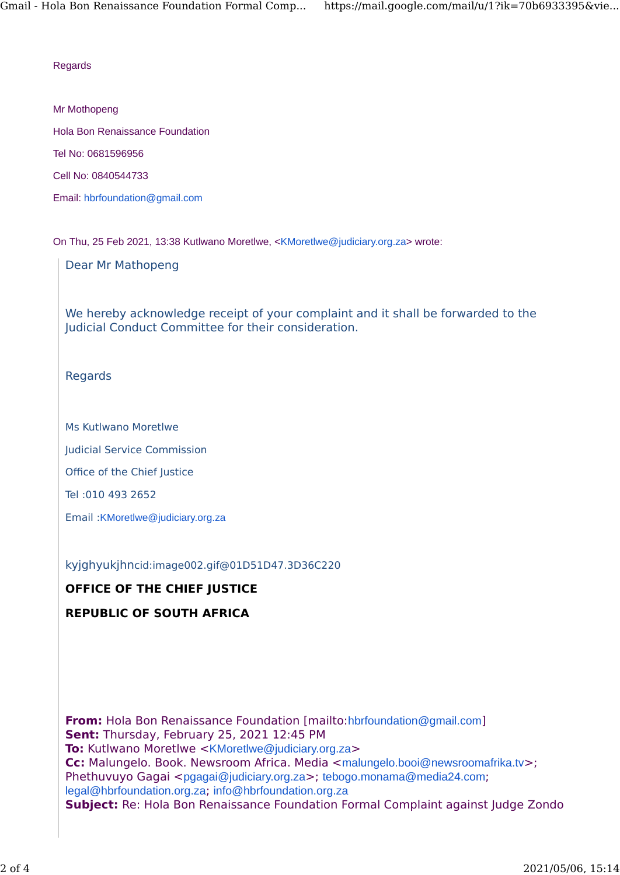## **Regards**

Mr Mothopeng

Hola Bon Renaissance Foundation

Tel No: 0681596956

Cell No: 0840544733

Email: hbrfoundation@gmail.com

On Thu, 25 Feb 2021, 13:38 Kutlwano Moretlwe, <KMoretlwe@judiciary.org.za> wrote:

Dear Mr Mathopeng

We hereby acknowledge receipt of your complaint and it shall be forwarded to the Judicial Conduct Committee for their consideration.

Regards

Ms Kutlwano Moretlwe

Judicial Service Commission

Office of the Chief Justice

Tel :010 493 2652

Email :KMoretlwe@judiciary.org.za

kyjghyukjhncid:image002.gif@01D51D47.3D36C220

## **OFFICE OF THE CHIEF JUSTICE**

## **REPUBLIC OF SOUTH AFRICA**

**From:** Hola Bon Renaissance Foundation [mailto:hbrfoundation@gmail.com] **Sent:** Thursday, February 25, 2021 12:45 PM **To:** Kutlwano Moretlwe <KMoretlwe@judiciary.org.za> **Cc:** Malungelo. Book. Newsroom Africa. Media <malungelo.booi@newsroomafrika.tv>; Phethuvuyo Gagai <pgagai@judiciary.org.za>; tebogo.monama@media24.com; legal@hbrfoundation.org.za; info@hbrfoundation.org.za **Subject:** Re: Hola Bon Renaissance Foundation Formal Complaint against Judge Zondo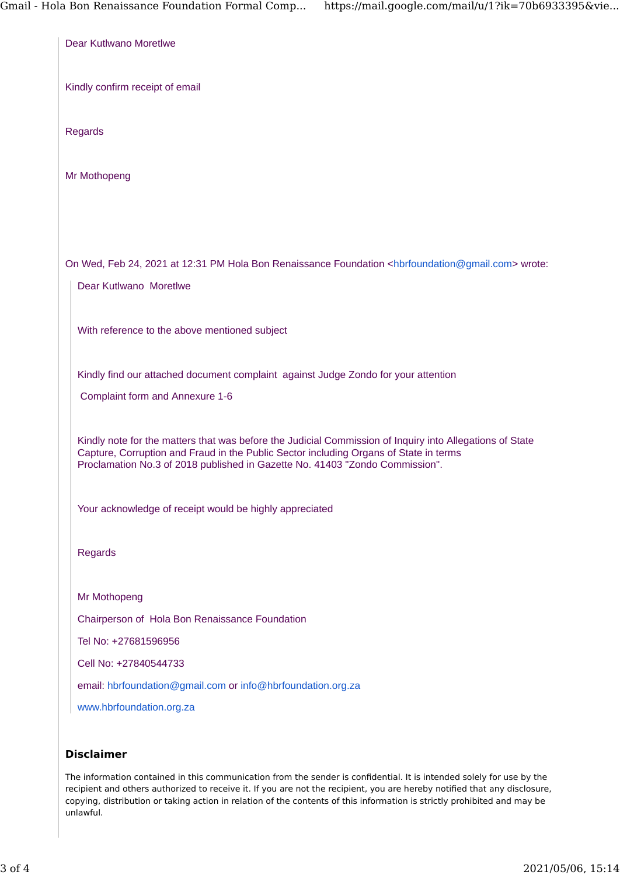| Dear Kutlwano Moretlwe                                                                                                                                                                                                                                                            |
|-----------------------------------------------------------------------------------------------------------------------------------------------------------------------------------------------------------------------------------------------------------------------------------|
| Kindly confirm receipt of email                                                                                                                                                                                                                                                   |
| Regards                                                                                                                                                                                                                                                                           |
| Mr Mothopeng                                                                                                                                                                                                                                                                      |
|                                                                                                                                                                                                                                                                                   |
|                                                                                                                                                                                                                                                                                   |
| On Wed, Feb 24, 2021 at 12:31 PM Hola Bon Renaissance Foundation <hbrfoundation@gmail.com> wrote:</hbrfoundation@gmail.com>                                                                                                                                                       |
| Dear Kutlwano Moretlwe                                                                                                                                                                                                                                                            |
| With reference to the above mentioned subject                                                                                                                                                                                                                                     |
| Kindly find our attached document complaint against Judge Zondo for your attention                                                                                                                                                                                                |
| Complaint form and Annexure 1-6                                                                                                                                                                                                                                                   |
| Kindly note for the matters that was before the Judicial Commission of Inquiry into Allegations of State<br>Capture, Corruption and Fraud in the Public Sector including Organs of State in terms<br>Proclamation No.3 of 2018 published in Gazette No. 41403 "Zondo Commission". |
| Your acknowledge of receipt would be highly appreciated                                                                                                                                                                                                                           |
| <b>Regards</b>                                                                                                                                                                                                                                                                    |
| Mr Mothopeng                                                                                                                                                                                                                                                                      |
| Chairperson of Hola Bon Renaissance Foundation                                                                                                                                                                                                                                    |
| Tel No: +27681596956                                                                                                                                                                                                                                                              |
| Cell No: +27840544733                                                                                                                                                                                                                                                             |
| email: hbrfoundation@gmail.com or info@hbrfoundation.org.za                                                                                                                                                                                                                       |
| www.hbrfoundation.org.za                                                                                                                                                                                                                                                          |
| <b>Disclaimer</b>                                                                                                                                                                                                                                                                 |

The information contained in this communication from the sender is confidential. It is intended solely for use by the recipient and others authorized to receive it. If you are not the recipient, you are hereby notified that any disclosure, copying, distribution or taking action in relation of the contents of this information is strictly prohibited and may be unlawful.